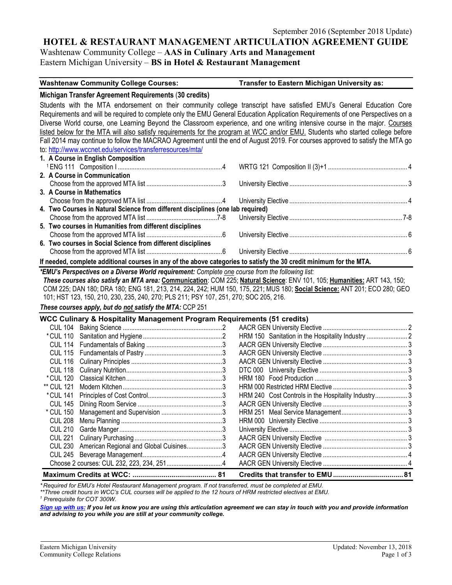#### **HOTEL & RESTAURANT MANAGEMENT ARTICULATION AGREEMENT GUIDE**

Washtenaw Community College – **AAS in Culinary Arts and Management**

Eastern Michigan University – **BS in Hotel & Restaurant Management**

#### **Washtenaw Community College Courses: Transfer to Eastern Michigan University as:**

#### **Michigan Transfer Agreement Requirements** (**30 credits)**

Students with the MTA endorsement on their community college transcript have satisfied EMU's General Education Core Requirements and will be required to complete only the EMU General Education Application Requirements of one Perspectives on a Diverse World course, one Learning Beyond the Classroom experience, and one writing intensive course in the major. Courses listed below for the MTA will also satisfy requirements for the program at WCC and/or EMU. Students who started college before Fall 2014 may continue to follow the MACRAO Agreement until the end of August 2019. For courses approved to satisfy the MTA go to: <http://www.wccnet.edu/services/transferresources/mta/> **1. A Course in English Composition**

| 2. A Course in Communication                                                                                        |  |  |  |  |  |  |  |
|---------------------------------------------------------------------------------------------------------------------|--|--|--|--|--|--|--|
|                                                                                                                     |  |  |  |  |  |  |  |
| 3. A Course in Mathematics                                                                                          |  |  |  |  |  |  |  |
|                                                                                                                     |  |  |  |  |  |  |  |
| 4. Two Courses in Natural Science from different disciplines (one lab required)                                     |  |  |  |  |  |  |  |
|                                                                                                                     |  |  |  |  |  |  |  |
| 5. Two courses in Humanities from different disciplines                                                             |  |  |  |  |  |  |  |
|                                                                                                                     |  |  |  |  |  |  |  |
| 6. Two courses in Social Science from different disciplines                                                         |  |  |  |  |  |  |  |
|                                                                                                                     |  |  |  |  |  |  |  |
| If needed, complete additional courses in any of the above categories to satisfy the 30 credit minimum for the MTA. |  |  |  |  |  |  |  |

*\*EMU's Perspectives on a Diverse World requirement: Complete one course from the following list:* 

*These courses also satisfy an MTA area:* **Communication**: COM 225; **Natural Science**: ENV 101, 105; **Humanities:** ART 143, 150; COM 225; DAN 180; DRA 180; ENG 181, 213, 214, 224, 242; HUM 150, 175, 221; MUS 180; **Social Science:** ANT 201; ECO 280; GEO 101; HST 123, 150, 210, 230, 235, 240, 270; PLS 211; PSY 107, 251, 270; SOC 205, 216.

*These courses apply, but do not satisfy the MTA:* CCP 251

## **WCC Culinary & Hospitality Management Program Requirements (51 credits)**

|                               | WCC Cullidary & Hospitality Management Program Requirements (51 Credits) |  |                                                    |    |
|-------------------------------|--------------------------------------------------------------------------|--|----------------------------------------------------|----|
|                               |                                                                          |  |                                                    |    |
|                               |                                                                          |  |                                                    |    |
|                               |                                                                          |  |                                                    |    |
|                               |                                                                          |  |                                                    |    |
| CUL 116                       |                                                                          |  |                                                    |    |
| <b>CUL 118</b>                |                                                                          |  |                                                    |    |
| * CUL 120                     |                                                                          |  |                                                    |    |
| ** CUL 121                    |                                                                          |  |                                                    |    |
| * CUL 141                     |                                                                          |  | HRM 240 Cost Controls in the Hospitality Industry3 |    |
| <b>CUL 145</b>                |                                                                          |  |                                                    |    |
| * CUL 150                     |                                                                          |  |                                                    |    |
| <b>CUL 208</b>                |                                                                          |  |                                                    |    |
| <b>CUL 210</b>                |                                                                          |  |                                                    |    |
| <b>CUL 221</b>                |                                                                          |  |                                                    |    |
| <b>CUL 230</b>                | American Regional and Global Cuisines3                                   |  |                                                    |    |
|                               |                                                                          |  |                                                    |    |
|                               |                                                                          |  |                                                    |    |
| Mavimum Cradite at WCC.<br>94 |                                                                          |  | Cradite that transfer to EMII                      | 94 |

**Maximum Credits at WCC: ........................................... 81 Credits that transfer to EMU....................................81**

*\* Required for EMU's Hotel Restaurant Management program. If not transferred, must be completed at EMU. \*\*Three credit hours in WCC's CUL courses will be applied to the 12 hours of HRM restricted electives at EMU.*

*<sup>1</sup> Prerequisite for COT 300W.*

*[Sign up with us:](https://www.emich.edu/ccr/articulation-agreements/signup.php) If you let us know you are using this articulation agreement we can stay in touch with you and provide information and advising to you while you are still at your community college.*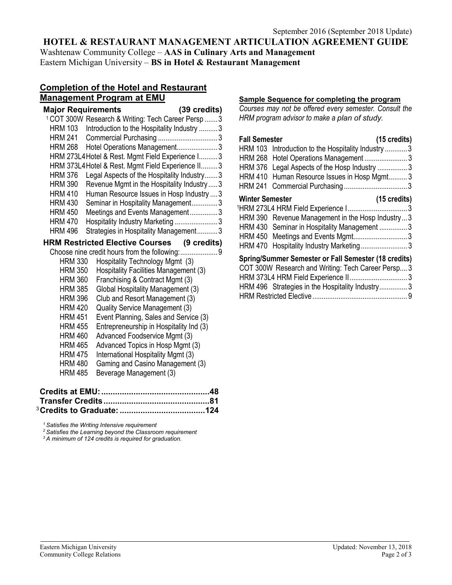# **HOTEL & RESTAURANT MANAGEMENT ARTICULATION AGREEMENT GUIDE**

Washtenaw Community College – **AAS in Culinary Arts and Management** Eastern Michigan University – **BS in Hotel & Restaurant Management**

#### **Completion of the Hotel and Restaurant Management Program at EMU**

|                           | <sub>.</sub>                                                   |  |
|---------------------------|----------------------------------------------------------------|--|
| <b>Major Requirements</b> | (39 credits)                                                   |  |
|                           | <sup>1</sup> COT 300W Research & Writing: Tech Career Persp  3 |  |
| HRM 103                   | Introduction to the Hospitality Industry  3                    |  |
| <b>HRM 241</b>            |                                                                |  |
| <b>HRM 268</b>            | Hotel Operations Management3                                   |  |
|                           | HRM 273L4 Hotel & Rest. Mgmt Field Experience I 3              |  |
|                           | HRM 373L4 Hotel & Rest. Mgmt Field Experience II 3             |  |
| <b>HRM 376</b>            | Legal Aspects of the Hospitality Industry 3                    |  |
| <b>HRM 390</b>            | Revenue Mgmt in the Hospitality Industry  3                    |  |
| <b>HRM 410</b>            | Human Resource Issues in Hosp Industry  3                      |  |
| <b>HRM 430</b>            | Seminar in Hospitality Management3                             |  |
| <b>HRM 450</b>            | Meetings and Events Management3                                |  |
| <b>HRM 470</b>            | Hospitality Industry Marketing  3                              |  |
| <b>HRM 496</b>            | Strategies in Hospitality Management3                          |  |
|                           | <b>HRM Restricted Elective Courses (9 credits)</b>             |  |
|                           | Choose nine credit hours from the following:  9                |  |
| <b>HRM 330</b>            | Hospitality Technology Mgmt (3)                                |  |
| <b>HRM 350</b>            | Hospitality Facilities Management (3)                          |  |
| <b>HRM 360</b>            | Franchising & Contract Mgmt (3)                                |  |
| <b>HRM 385</b>            | Global Hospitality Management (3)                              |  |
| <b>HRM 396</b>            | Club and Resort Management (3)                                 |  |
| <b>HRM 420</b>            | Quality Service Management (3)                                 |  |
| <b>HRM 451</b>            | Event Planning, Sales and Service (3)                          |  |
| <b>HRM 455</b>            | Entrepreneurship in Hospitality Ind (3)                        |  |
| <b>HRM 460</b>            | Advanced Foodservice Mgmt (3)                                  |  |
| <b>HRM 465</b>            | Advanced Topics in Hosp Mgmt (3)                               |  |
| <b>HRM 475</b>            | International Hospitality Mgmt (3)                             |  |
| <b>HRM 480</b>            | Gaming and Casino Management (3)                               |  |
| <b>HRM 485</b>            | Beverage Management (3)                                        |  |
|                           |                                                                |  |
|                           |                                                                |  |
|                           |                                                                |  |
|                           |                                                                |  |

*<sup>1</sup> Satisfies the Writing Intensive requirement 2 Satisfies the Learning beyond the Classroom requirement*

*<sup>3</sup> A minimum of 124 credits is required for graduation.*

#### **Sample Sequence for completing the program**

*Courses may not be offered every semester. Consult the HRM program advisor to make a plan of study.*

#### **Fall Semester (15 credits)** HRM 103 Introduction to the Hospitality Industry ............3 HRM 268 Hotel Operations Management ..........................3 HRM 376 Legal Aspects of the Hosp Industry ................ 3 HRM 410 Human Resource Issues in Hosp Mgmt.......... 3 HRM 241 Commercial Purchasing ..................................3 **Winter Semester (15 credits)** 1HRM 273L4 HRM Field Experience I................................3 HRM 390 Revenue Management in the Hosp Industry...3 HRM 430 Seminar in Hospitality Management ...............3 HRM 450 Meetings and Events Mgmt.............................3 HRM 470 Hospitality Industry Marketing...........................3 **Spring/Summer Semester or Fall Semester (18 credits)** COT 300W Research and Writing: Tech Career Persp.... 3 HRM 373L4 HRM Field Experience II............................... 3 HRM 496 Strategies in the Hospitality Industry............... 3 HRM Restricted Elective................................................... 9